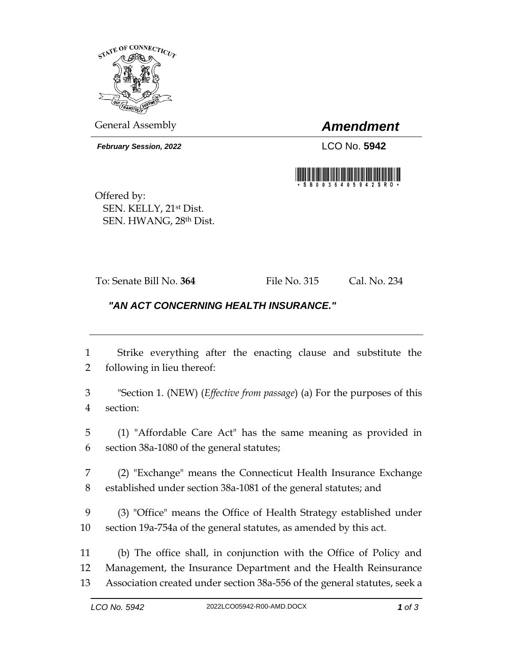

General Assembly *Amendment*

*February Session, 2022* LCO No. 5942



Offered by: SEN. KELLY, 21st Dist. SEN. HWANG, 28th Dist.

To: Senate Bill No. **364** File No. 315 Cal. No. 234

## *"AN ACT CONCERNING HEALTH INSURANCE."*

 Strike everything after the enacting clause and substitute the following in lieu thereof:

 "Section 1. (NEW) (*Effective from passage*) (a) For the purposes of this section:

 (1) "Affordable Care Act" has the same meaning as provided in section 38a-1080 of the general statutes;

 (2) "Exchange" means the Connecticut Health Insurance Exchange established under section 38a-1081 of the general statutes; and

 (3) "Office" means the Office of Health Strategy established under section 19a-754a of the general statutes, as amended by this act.

 (b) The office shall, in conjunction with the Office of Policy and Management, the Insurance Department and the Health Reinsurance Association created under section 38a-556 of the general statutes, seek a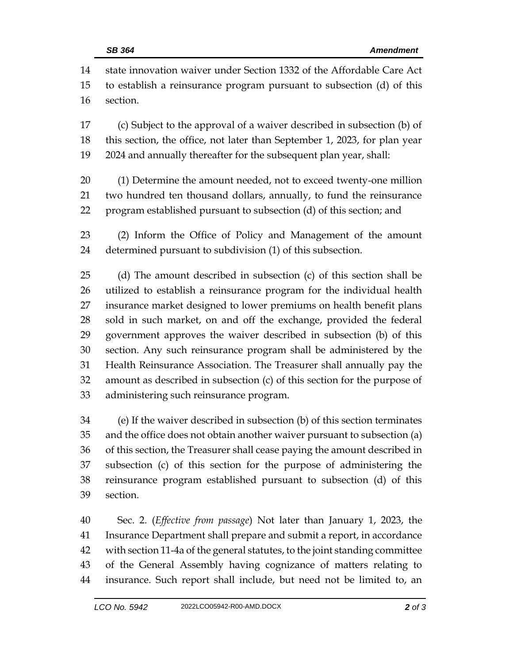state innovation waiver under Section 1332 of the Affordable Care Act to establish a reinsurance program pursuant to subsection (d) of this section. (c) Subject to the approval of a waiver described in subsection (b) of this section, the office, not later than September 1, 2023, for plan year 2024 and annually thereafter for the subsequent plan year, shall: (1) Determine the amount needed, not to exceed twenty-one million two hundred ten thousand dollars, annually, to fund the reinsurance program established pursuant to subsection (d) of this section; and (2) Inform the Office of Policy and Management of the amount determined pursuant to subdivision (1) of this subsection. (d) The amount described in subsection (c) of this section shall be utilized to establish a reinsurance program for the individual health insurance market designed to lower premiums on health benefit plans sold in such market, on and off the exchange, provided the federal government approves the waiver described in subsection (b) of this section. Any such reinsurance program shall be administered by the Health Reinsurance Association. The Treasurer shall annually pay the amount as described in subsection (c) of this section for the purpose of administering such reinsurance program.

 (e) If the waiver described in subsection (b) of this section terminates and the office does not obtain another waiver pursuant to subsection (a) of this section, the Treasurer shall cease paying the amount described in subsection (c) of this section for the purpose of administering the reinsurance program established pursuant to subsection (d) of this section.

 Sec. 2. (*Effective from passage*) Not later than January 1, 2023, the Insurance Department shall prepare and submit a report, in accordance with section 11-4a of the general statutes, to the joint standing committee of the General Assembly having cognizance of matters relating to insurance. Such report shall include, but need not be limited to, an